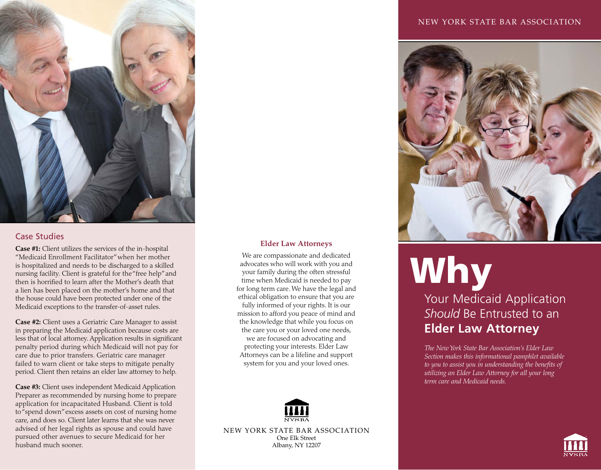

#### Case Studies

**Case #1:** Client utilizes the services of the in-hospital "Medicaid Enrollment Facilitator" when her mother is hospitalized and needs to be discharged to a skilled nursing facility. Client is grateful for the "free help" and then is horrified to learn after the Mother's death that a lien has been placed on the mother's home and that the house could have been protected under one of the Medicaid exceptions to the transfer-of-asset rules.

**Case #2:** Client uses a Geriatric Care Manager to assist in preparing the Medicaid application because costs are less that of local attorney. Application results in significant penalty period during which Medicaid will not pay for care due to prior transfers. Geriatric care manager failed to warn client or take steps to mitigate penalty period. Client then retains an elder law attorney to help.

**Case #3:** Client uses independent Medicaid Application Preparer as recommended by nursing home to prepare application for incapacitated Husband. Client is told to "spend down" excess assets on cost of nursing home care, and does so. Client later learns that she was never advised of her legal rights as spouse and could have pursued other avenues to secure Medicaid for her husband much sooner.

#### NEW YORK STATE BAR ASSOCIATION



#### **Elder Law Attorneys**

We are compassionate and dedicated advocates who will work with you and your family during the often stressful time when Medicaid is needed to pay for long term care. We have the legal and ethical obligation to ensure that you are fully informed of your rights. It is our mission to afford you peace of mind and the knowledge that while you focus on the care you or your loved one needs, we are focused on advocating and protecting your interests. Elder Law Attorneys can be a lifeline and support system for you and your loved ones.



NEW YORK STATE BAR ASSOCIATION One Elk Street Albany, NY 12207

# Why Your Medicaid Application *Should* Be Entrusted to an **Elder Law Attorney**

*The New York State Bar Association's Elder Law Section makes this informational pamphlet available to you to assist you in understanding the benefits of utilizing an Elder Law Attorney for all your long term care and Medicaid needs.*